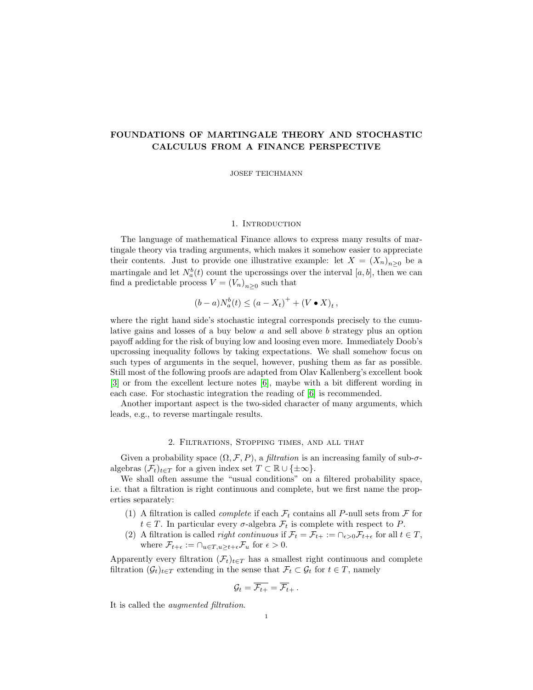# FOUNDATIONS OF MARTINGALE THEORY AND STOCHASTIC CALCULUS FROM A FINANCE PERSPECTIVE

JOSEF TEICHMANN

# 1. INTRODUCTION

The language of mathematical Finance allows to express many results of martingale theory via trading arguments, which makes it somehow easier to appreciate their contents. Just to provide one illustrative example: let  $X = (X_n)_{n \geq 0}$  be a martingale and let  $N_a^b(t)$  count the upcrossings over the interval  $[a, b]$ , then we can find a predictable process  $V = (V_n)_{n \geq 0}$  such that

$$
(b-a)N_a^b(t) \le (a - X_t)^+ + (V \bullet X)_t,
$$

where the right hand side's stochastic integral corresponds precisely to the cumulative gains and losses of a buy below a and sell above b strategy plus an option payoff adding for the risk of buying low and loosing even more. Immediately Doob's upcrossing inequality follows by taking expectations. We shall somehow focus on such types of arguments in the sequel, however, pushing them as far as possible. Still most of the following proofs are adapted from Olav Kallenberg's excellent book [\[3\]](#page-18-0) or from the excellent lecture notes [\[6\]](#page-18-1), maybe with a bit different wording in each case. For stochastic integration the reading of [\[6\]](#page-18-1) is recommended.

Another important aspect is the two-sided character of many arguments, which leads, e.g., to reverse martingale results.

# 2. Filtrations, Stopping times, and all that

Given a probability space  $(\Omega, \mathcal{F}, P)$ , a *filtration* is an increasing family of sub- $\sigma$ algebras  $(\mathcal{F}_t)_{t \in \mathcal{T}}$  for a given index set  $T \subset \mathbb{R} \cup \{\pm \infty\}.$ 

We shall often assume the "usual conditions" on a filtered probability space, i.e. that a filtration is right continuous and complete, but we first name the properties separately:

- (1) A filtration is called *complete* if each  $\mathcal{F}_t$  contains all P-null sets from  $\mathcal F$  for  $t \in T$ . In particular every  $\sigma$ -algebra  $\mathcal{F}_t$  is complete with respect to P.
- (2) A filtration is called *right continuous* if  $\mathcal{F}_t = \mathcal{F}_{t+} := \bigcap_{\epsilon > 0} \mathcal{F}_{t+\epsilon}$  for all  $t \in T$ , where  $\mathcal{F}_{t+\epsilon} := \bigcap_{u \in T, u \geq t+\epsilon} \mathcal{F}_u$  for  $\epsilon > 0$ .

Apparently every filtration  $(\mathcal{F}_t)_{t\in T}$  has a smallest right continuous and complete filtration  $(\mathcal{G}_t)_{t\in T}$  extending in the sense that  $\mathcal{F}_t \subset \mathcal{G}_t$  for  $t \in T$ , namely

$$
\mathcal{G}_t = \overline{\mathcal{F}_{t+}} = \overline{\mathcal{F}_{t+}}.
$$

It is called the augmented filtration.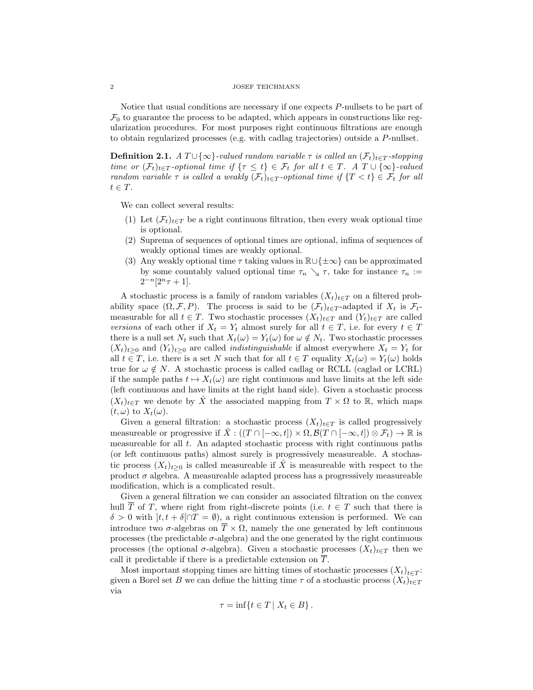#### ${\rm JOSEF~TEICHMANN}$

Notice that usual conditions are necessary if one expects P-nullsets to be part of  $\mathcal{F}_0$  to guarantee the process to be adapted, which appears in constructions like regularization procedures. For most purposes right continuous filtrations are enough to obtain regularized processes (e.g. with cadlag trajectories) outside a P-nullset.

**Definition 2.1.** A  $T \cup \{\infty\}$ -valued random variable  $\tau$  is called an  $(\mathcal{F}_t)_{t \in T}$ -stopping time or  $(\mathcal{F}_t)_{t\in T}$ -optional time if  $\{\tau \leq t\} \in \mathcal{F}_t$  for all  $t \in T$ . A  $T \cup \{\infty\}$ -valued random variable  $\tau$  is called a weakly  $(\mathcal{F}_t)_{t\in T}$ -optional time if  $\{T < t\} \in \mathcal{F}_t$  for all  $t \in T$ .

We can collect several results:

- (1) Let  $(\mathcal{F}_t)_{t\in T}$  be a right continuous filtration, then every weak optional time is optional.
- (2) Suprema of sequences of optional times are optional, infima of sequences of weakly optional times are weakly optional.
- (3) Any weakly optional time  $\tau$  taking values in  $\mathbb{R}\cup\{\pm\infty\}$  can be approximated by some countably valued optional time  $\tau_n \searrow \tau$ , take for instance  $\tau_n :=$  $2^{-n}[2^n \tau + 1].$

A stochastic process is a family of random variables  $(X_t)_{t\in T}$  on a filtered probability space  $(\Omega, \mathcal{F}, P)$ . The process is said to be  $(\mathcal{F}_t)_{t \in T}$ -adapted if  $X_t$  is  $\mathcal{F}_t$ measurable for all  $t \in T$ . Two stochastic processes  $(X_t)_{t \in T}$  and  $(Y_t)_{t \in T}$  are called versions of each other if  $X_t = Y_t$  almost surely for all  $t \in T$ , i.e. for every  $t \in T$ there is a null set  $N_t$  such that  $X_t(\omega) = Y_t(\omega)$  for  $\omega \notin N_t$ . Two stochastic processes  $(X_t)_{t>0}$  and  $(Y_t)_{t>0}$  are called *indistinguishable* if almost everywhere  $X_t = Y_t$  for all  $t \in T$ , i.e. there is a set N such that for all  $t \in T$  equality  $X_t(\omega) = Y_t(\omega)$  holds true for  $\omega \notin N$ . A stochastic process is called cadlag or RCLL (caglad or LCRL) if the sample paths  $t \mapsto X_t(\omega)$  are right continuous and have limits at the left side (left continuous and have limits at the right hand side). Given a stochastic process  $(X_t)_{t\in T}$  we denote by  $\hat{X}$  the associated mapping from  $T \times \Omega$  to R, which maps  $(t, \omega)$  to  $X_t(\omega)$ .

Given a general filtration: a stochastic process  $(X_t)_{t\in T}$  is called progressively measureable or progressive if  $\hat{X}$  :  $((T \cap [-\infty, t]) \times \Omega, \mathcal{B}(T \cap [-\infty, t]) \otimes \mathcal{F}_t) \to \mathbb{R}$  is measureable for all t. An adapted stochastic process with right continuous paths (or left continuous paths) almost surely is progressively measureable. A stochastic process  $(X_t)_{t\geq 0}$  is called measureable if  $\hat{X}$  is measureable with respect to the product  $\sigma$  algebra. A measureable adapted process has a progressively measureable modification, which is a complicated result.

Given a general filtration we can consider an associated filtration on the convex hull  $\overline{T}$  of T, where right from right-discrete points (i.e.  $t \in T$  such that there is  $\delta > 0$  with  $|t, t + \delta \cap T = \emptyset$ , a right continuous extension is performed. We can introduce two  $\sigma$ -algebras on  $\overline{T} \times \Omega$ , namely the one generated by left continuous processes (the predictable  $\sigma$ -algebra) and the one generated by the right continuous processes (the optional  $\sigma$ -algebra). Given a stochastic processes  $(X_t)_{t\in\mathcal{T}}$  then we call it predictable if there is a predictable extension on  $\overline{T}$ .

Most important stopping times are hitting times of stochastic processes  $(X_t)_{t \in T}$ : given a Borel set B we can define the hitting time  $\tau$  of a stochastic process  $(X_t)_{t\in\mathcal{I}}$ via

$$
\tau = \inf\{t \in T \mid X_t \in B\}.
$$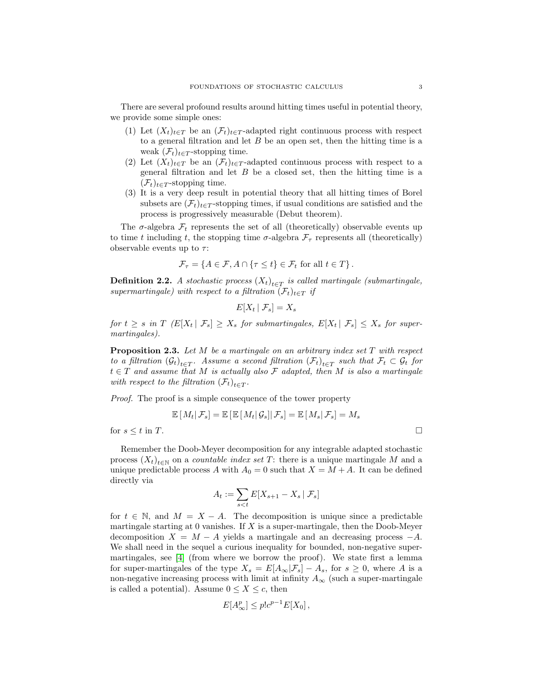There are several profound results around hitting times useful in potential theory, we provide some simple ones:

- (1) Let  $(X_t)_{t\in T}$  be an  $(\mathcal{F}_t)_{t\in T}$ -adapted right continuous process with respect to a general filtration and let  $B$  be an open set, then the hitting time is a weak  $(\mathcal{F}_t)_{t \in T}$ -stopping time.
- (2) Let  $(X_t)_{t\in T}$  be an  $(\mathcal{F}_t)_{t\in T}$ -adapted continuous process with respect to a general filtration and let  $B$  be a closed set, then the hitting time is a  $(\mathcal{F}_t)_{t \in T}$ -stopping time.
- (3) It is a very deep result in potential theory that all hitting times of Borel subsets are  $(\mathcal{F}_t)_{t \in T}$ -stopping times, if usual conditions are satisfied and the process is progressively measurable (Debut theorem).

The  $\sigma$ -algebra  $\mathcal{F}_t$  represents the set of all (theoretically) observable events up to time t including t, the stopping time  $\sigma$ -algebra  $\mathcal{F}_{\tau}$  represents all (theoretically) observable events up to  $\tau$ :

$$
\mathcal{F}_{\tau} = \{ A \in \mathcal{F}, A \cap \{ \tau \le t \} \in \mathcal{F}_t \text{ for all } t \in T \}.
$$

**Definition 2.2.** A stochastic process  $(X_t)_{t \in T}$  is called martingale (submartingale, supermartingale) with respect to a filtration  $(\mathcal{F}_t)_{t\in T}$  if

$$
E[X_t | \mathcal{F}_s] = X_s
$$

for  $t \geq s$  in T  $(E[X_t | \mathcal{F}_s] \geq X_s$  for submartingales,  $E[X_t | \mathcal{F}_s] \leq X_s$  for supermartingales).

**Proposition 2.3.** Let  $M$  be a martingale on an arbitrary index set  $T$  with respect to a filtration  $(\mathcal{G}_t)_{t \in T}$ . Assume a second filtration  $(\mathcal{F}_t)_{t \in T}$  such that  $\mathcal{F}_t \subset \mathcal{G}_t$  for  $t \in T$  and assume that M is actually also F adapted, then M is also a martingale with respect to the filtration  $(\mathcal{F}_t)_{t \in T}$ .

Proof. The proof is a simple consequence of the tower property

$$
\mathbb{E}\left[M_t|\mathcal{F}_s\right]=\mathbb{E}\left[\left.\mathbb{E}\left[M_t|\mathcal{G}_s\right]\right|\mathcal{F}_s\right]=\mathbb{E}\left[\left.M_s\right|\mathcal{F}_s\right]=M_s
$$

for  $s \leq t$  in T.

Remember the Doob-Meyer decomposition for any integrable adapted stochastic process  $(X_t)_{t \in \mathbb{N}}$  on a *countable index set*  $T$ : there is a unique martingale M and a unique predictable process A with  $A_0 = 0$  such that  $X = M + A$ . It can be defined directly via

$$
A_t := \sum_{s < t} E[X_{s+1} - X_s \mid \mathcal{F}_s]
$$

for  $t \in \mathbb{N}$ , and  $M = X - A$ . The decomposition is unique since a predictable martingale starting at 0 vanishes. If  $X$  is a super-martingale, then the Doob-Meyer decomposition  $X = M - A$  yields a martingale and an decreasing process  $-A$ . We shall need in the sequel a curious inequality for bounded, non-negative supermartingales, see [\[4\]](#page-18-2) (from where we borrow the proof). We state first a lemma for super-martingales of the type  $X_s = E[A_\infty | \mathcal{F}_s] - A_s$ , for  $s \geq 0$ , where A is a non-negative increasing process with limit at infinity  $A_{\infty}$  (such a super-martingale is called a potential). Assume  $0 \le X \le c$ , then

$$
E[A^p_{\infty}] \le p!c^{p-1}E[X_0],
$$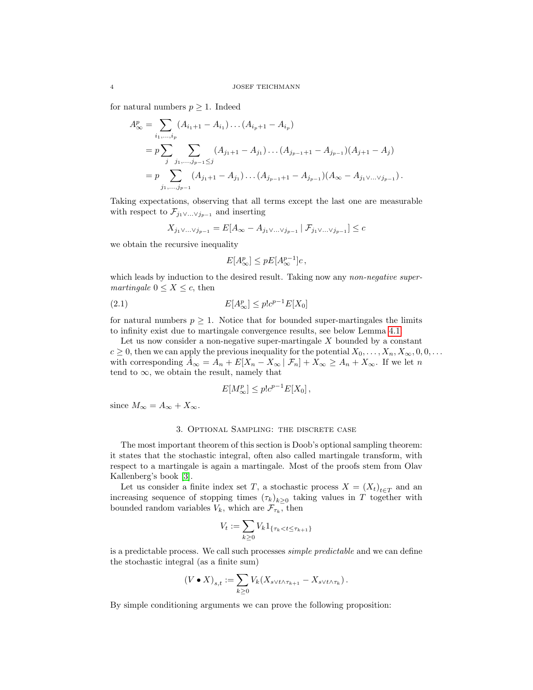for natural numbers  $p \geq 1$ . Indeed

$$
A_{\infty}^{p} = \sum_{i_{1},...,i_{p}} (A_{i_{1}+1} - A_{i_{1}}) \dots (A_{i_{p}+1} - A_{i_{p}})
$$
  
=  $p \sum_{j} \sum_{j_{1},...,j_{p-1} \leq j} (A_{j_{1}+1} - A_{j_{1}}) \dots (A_{j_{p-1}+1} - A_{j_{p-1}}) (A_{j+1} - A_{j})$   
=  $p \sum_{j_{1},...,j_{p-1}} (A_{j_{1}+1} - A_{j_{1}}) \dots (A_{j_{p-1}+1} - A_{j_{p-1}}) (A_{\infty} - A_{j_{1}} \vee \dots \vee j_{p-1}).$ 

Taking expectations, observing that all terms except the last one are measurable with respect to  $\mathcal{F}_{j_1 \vee \ldots \vee j_{p-1}}$  and inserting

$$
X_{j_1 \vee \ldots \vee j_{p-1}} = E[A_{\infty} - A_{j_1 \vee \ldots \vee j_{p-1}} | \mathcal{F}_{j_1 \vee \ldots \vee j_{p-1}}] \leq c
$$

we obtain the recursive inequality

<span id="page-3-0"></span>
$$
E[A^p_{\infty}] \le pE[A^{p-1}_{\infty}]c \,,
$$

which leads by induction to the desired result. Taking now any *non-negative super*martingale  $0 \leq X \leq c$ , then

$$
E[A^p_{\infty}] \le p!c^{p-1}E[X_0]
$$

for natural numbers  $p \geq 1$ . Notice that for bounded super-martingales the limits to infinity exist due to martingale convergence results, see below Lemma [4.1.](#page-8-0)

Let us now consider a non-negative super-martingale  $X$  bounded by a constant  $c \ge 0$ , then we can apply the previous inequality for the potential  $X_0, \ldots, X_n, X_\infty, 0, 0, \ldots$ with corresponding  $\tilde{A}_{\infty} = A_n + E[X_n - X_{\infty} | \mathcal{F}_n] + X_{\infty} \geq A_n + X_{\infty}$ . If we let n tend to  $\infty$ , we obtain the result, namely that

$$
E[M^p_{\infty}] \le p!c^{p-1}E[X_0],
$$

since  $M_{\infty} = A_{\infty} + X_{\infty}$ .

### 3. Optional Sampling: the discrete case

The most important theorem of this section is Doob's optional sampling theorem: it states that the stochastic integral, often also called martingale transform, with respect to a martingale is again a martingale. Most of the proofs stem from Olav Kallenberg's book [\[3\]](#page-18-0).

Let us consider a finite index set T, a stochastic process  $X = (X_t)_{t \in T}$  and an increasing sequence of stopping times  $(\tau_k)_{k\geq 0}$  taking values in T together with bounded random variables  $V_k$ , which are  $\mathcal{F}_{\tau_k}$ , then

$$
V_t := \sum_{k \ge 0} V_k \mathbb{1}_{\{\tau_k < t \le \tau_{k+1}\}}
$$

is a predictable process. We call such processes simple predictable and we can define the stochastic integral (as a finite sum)

$$
(V \bullet X)_{s,t} := \sum_{k \geq 0} V_k(X_{s \vee t \wedge \tau_{k+1}} - X_{s \vee t \wedge \tau_k}).
$$

By simple conditioning arguments we can prove the following proposition: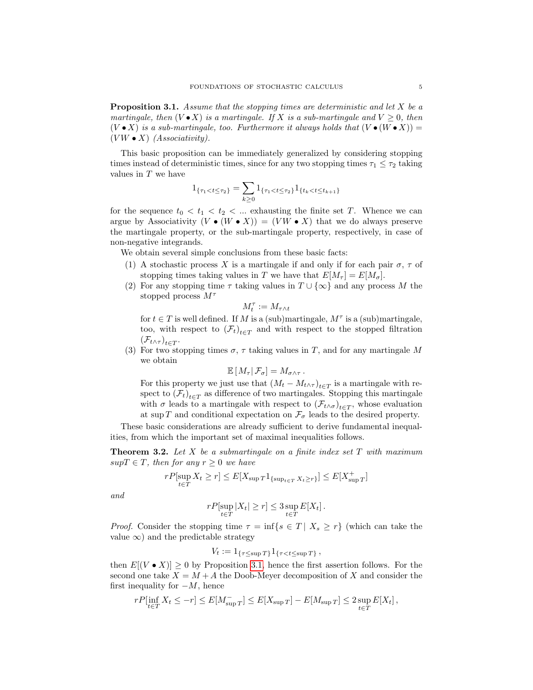<span id="page-4-0"></span>**Proposition 3.1.** Assume that the stopping times are deterministic and let X be a martingale, then  $(V \bullet X)$  is a martingale. If X is a sub-martingale and  $V \geq 0$ , then  $(V \bullet X)$  is a sub-martingale, too. Furthermore it always holds that  $(V \bullet (W \bullet X)) =$  $(VW \bullet X)$  (Associativity).

This basic proposition can be immediately generalized by considering stopping times instead of deterministic times, since for any two stopping times  $\tau_1 \leq \tau_2$  taking values in T we have

$$
1_{\{\tau_1 < t \le \tau_2\}} = \sum_{k \ge 0} 1_{\{\tau_1 < t \le \tau_2\}} 1_{\{t_k < t \le t_{k+1}\}}
$$

for the sequence  $t_0 < t_1 < t_2 < \dots$  exhausting the finite set T. Whence we can argue by Associativity  $(V \bullet (W \bullet X)) = (V W \bullet X)$  that we do always preserve the martingale property, or the sub-martingale property, respectively, in case of non-negative integrands.

We obtain several simple conclusions from these basic facts:

- (1) A stochastic process X is a martingale if and only if for each pair  $\sigma$ ,  $\tau$  of stopping times taking values in T we have that  $E[M_\tau] = E[M_\sigma]$ .
- (2) For any stopping time  $\tau$  taking values in  $T \cup {\infty}$  and any process M the stopped process  $M^{\tau}$

$$
M^\tau_t:=M_{\tau\wedge t}
$$

for  $t \in T$  is well defined. If M is a (sub)martingale,  $M^{\tau}$  is a (sub)martingale, too, with respect to  $(\mathcal{F}_t)_{t \in \mathcal{T}}$  and with respect to the stopped filtration  $(\mathcal{F}_{t\wedge\tau})_{t\in T}$ .

(3) For two stopping times  $\sigma$ ,  $\tau$  taking values in T, and for any martingale M we obtain

$$
\mathbb{E}[M_{\tau}|\mathcal{F}_{\sigma}] = M_{\sigma \wedge \tau}.
$$

For this property we just use that  $(M_t - M_{t \wedge \tau})_{t \in T}$  is a martingale with respect to  $(\mathcal{F}_t)_{t \in T}$  as difference of two martingales. Stopping this martingale with  $\sigma$  leads to a martingale with respect to  $(\mathcal{F}_{t \wedge \sigma})_{t \in T}$ , whose evaluation at sup T and conditional expectation on  $\mathcal{F}_{\sigma}$  leads to the desired property.

These basic considerations are already sufficient to derive fundamental inequalities, from which the important set of maximal inequalities follows.

<span id="page-4-1"></span>**Theorem 3.2.** Let X be a submartingale on a finite index set  $T$  with maximum  $supT \in T$ , then for any  $r \geq 0$  we have

$$
rP[\sup_{t \in T} X_t \ge r] \le E[X_{\sup T} \mathbf{1}_{\{\sup_{t \in T} X_t \ge r\}}] \le E[X_{\sup T}^+]
$$

and

$$
rP[\sup_{t \in T} |X_t| \ge r] \le 3 \sup_{t \in T} E[X_t].
$$

*Proof.* Consider the stopping time  $\tau = \inf\{s \in T | X_s \geq r\}$  (which can take the value  $\infty$ ) and the predictable strategy

$$
V_t := 1_{\{\tau \le \sup T\}} 1_{\{\tau < t \le \sup T\}} \,,
$$

then  $E[(V \bullet X)] \geq 0$  by Proposition [3.1,](#page-4-0) hence the first assertion follows. For the second one take  $X = M + A$  the Doob-Meyer decomposition of X and consider the first inequality for  $-M$ , hence

$$
rP[\inf_{t \in T} X_t \leq -r] \leq E[M_{\sup T}^-] \leq E[X_{\sup T}] - E[M_{\sup T}] \leq 2 \sup_{t \in T} E[X_t],
$$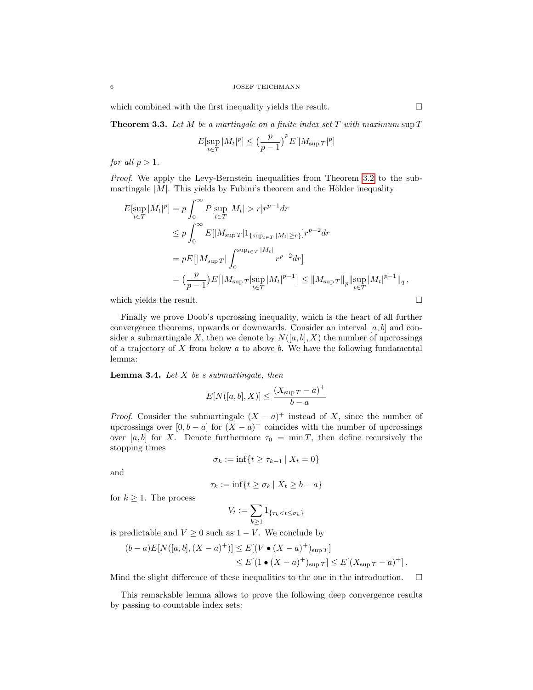which combined with the first inequality yields the result.  $\Box$ 

<span id="page-5-0"></span>**Theorem 3.3.** Let M be a martingale on a finite index set T with maximum sup  $T$ 

$$
E[\sup_{t \in T} |M_t|^p] \le \left(\frac{p}{p-1}\right)^p E[|M_{\sup T}|^p]
$$

for all  $p > 1$ .

Proof. We apply the Levy-Bernstein inequalities from Theorem [3.2](#page-4-1) to the submartingale  $|M|$ . This yields by Fubini's theorem and the Hölder inequality

$$
E[\sup_{t \in T} |M_t|^p] = p \int_0^\infty P[\sup_{t \in T} |M_t| > r] r^{p-1} dr
$$
  
\n
$$
\leq p \int_0^\infty E[|M_{\sup T}| 1_{\{\sup_{t \in T} |M_t| \geq r\}}] r^{p-2} dr
$$
  
\n
$$
= pE[|M_{\sup T}| \int_0^{\sup_{t \in T} |M_t|} r^{p-2} dr]
$$
  
\n
$$
= (\frac{p}{p-1}) E[|M_{\sup T}| \sup_{t \in T} |M_t|^{p-1}] \leq ||M_{\sup T}||_p ||\sup_{t \in T} |M_t|^{p-1}||_q,
$$

which yields the result.  $\Box$ 

Finally we prove Doob's upcrossing inequality, which is the heart of all further convergence theorems, upwards or downwards. Consider an interval  $[a, b]$  and consider a submartingale X, then we denote by  $N([a, b], X)$  the number of upcrossings of a trajectory of  $X$  from below  $a$  to above  $b$ . We have the following fundamental lemma:

**Lemma 3.4.** Let  $X$  be s submartingale, then

$$
E[N([a,b],X)] \le \frac{(X_{\sup T} - a)^+}{b - a}
$$

*Proof.* Consider the submartingale  $(X - a)^+$  instead of X, since the number of upcrossings over  $[0, b - a]$  for  $(X - a)^+$  coincides with the number of upcrossings over [a, b] for X. Denote furthermore  $\tau_0 = \min T$ , then define recursively the stopping times

$$
\sigma_k := \inf\{t \ge \tau_{k-1} \mid X_t = 0\}
$$

and

$$
\tau_k := \inf\{t \ge \sigma_k \mid X_t \ge b - a\}
$$

for  $k \geq 1$ . The process

$$
V_t:=\sum_{k\geq 1}1_{\{\tau_k
$$

is predictable and  $V \geq 0$  such as  $1 - V$ . We conclude by

$$
(b-a)E[N([a,b], (X-a)^{+})] \leq E[(V \bullet (X-a)^{+})_{\sup T}]
$$
  
 
$$
\leq E[(1 \bullet (X-a)^{+})_{\sup T}] \leq E[(X_{\sup T} - a)^{+}].
$$

Mind the slight difference of these inequalities to the one in the introduction.  $\Box$ 

This remarkable lemma allows to prove the following deep convergence results by passing to countable index sets: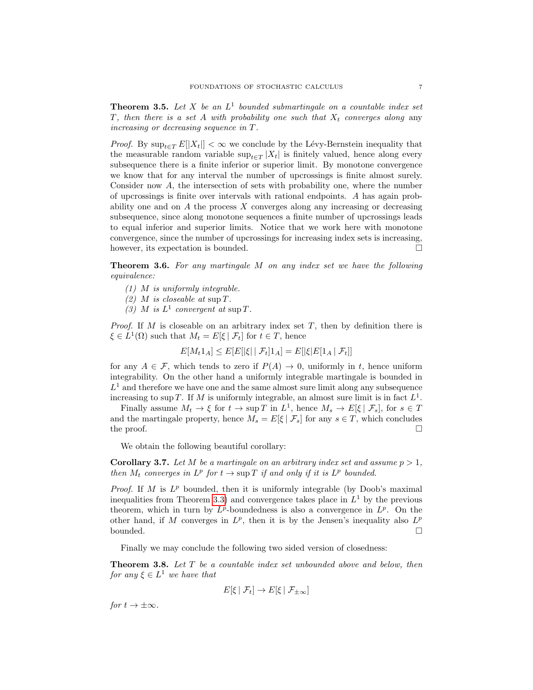<span id="page-6-1"></span>**Theorem 3.5.** Let X be an  $L^1$  bounded submartingale on a countable index set T, then there is a set A with probability one such that  $X_t$  converges along any increasing or decreasing sequence in T.

*Proof.* By  $\sup_{t\in\mathcal{T}} E[|X_t|] < \infty$  we conclude by the Lévy-Bernstein inequality that the measurable random variable  $\sup_{t\in T} |X_t|$  is finitely valued, hence along every subsequence there is a finite inferior or superior limit. By monotone convergence we know that for any interval the number of upcrossings is finite almost surely. Consider now A, the intersection of sets with probability one, where the number of upcrossings is finite over intervals with rational endpoints. A has again probability one and on  $A$  the process  $X$  converges along any increasing or decreasing subsequence, since along monotone sequences a finite number of upcrossings leads to equal inferior and superior limits. Notice that we work here with monotone convergence, since the number of upcrossings for increasing index sets is increasing, however, its expectation is bounded.

<span id="page-6-0"></span>Theorem 3.6. For any martingale M on any index set we have the following equivalence:

- (1) M is uniformly integrable.
- (2) M is closeable at sup  $T$ .
- (3) M is  $L^1$  convergent at sup T.

*Proof.* If M is closeable on an arbitrary index set  $T$ , then by definition there is  $\xi \in L^1(\Omega)$  such that  $M_t = E[\xi \mid \mathcal{F}_t]$  for  $t \in T$ , hence

$$
E[M_t 1_A] \le E[E[|\xi| | \mathcal{F}_t] 1_A] = E[|\xi| E[1_A | \mathcal{F}_t]]
$$

for any  $A \in \mathcal{F}$ , which tends to zero if  $P(A) \to 0$ , uniformly in t, hence uniform integrability. On the other hand a uniformly integrable martingale is bounded in  $L<sup>1</sup>$  and therefore we have one and the same almost sure limit along any subsequence increasing to sup T. If M is uniformly integrable, an almost sure limit is in fact  $L^1$ .

Finally assume  $M_t \to \xi$  for  $t \to \sup T$  in  $L^1$ , hence  $M_s \to E[\xi \mid \mathcal{F}_s]$ , for  $s \in T$ and the martingale property, hence  $M_s = E[\xi | \mathcal{F}_s]$  for any  $s \in T$ , which concludes the proof.  $\Box$ 

We obtain the following beautiful corollary:

**Corollary 3.7.** Let M be a martingale on an arbitrary index set and assume  $p > 1$ , then  $M_t$  converges in  $L^p$  for  $t \to \sup T$  if and only if it is  $L^p$  bounded.

*Proof.* If  $M$  is  $L^p$  bounded, then it is uniformly integrable (by Doob's maximal inequalities from Theorem [3.3\)](#page-5-0) and convergence takes place in  $L^1$  by the previous theorem, which in turn by  $L^p$ -boundedness is also a convergence in  $L^p$ . On the other hand, if M converges in  $L^p$ , then it is by the Jensen's inequality also  $L^p$ bounded.  $\Box$ 

Finally we may conclude the following two sided version of closedness:

**Theorem 3.8.** Let T be a countable index set unbounded above and below, then for any  $\xi \in L^1$  we have that

$$
E[\xi \mid \mathcal{F}_t] \to E[\xi \mid \mathcal{F}_{\pm \infty}]
$$

for  $t \to \pm \infty$ .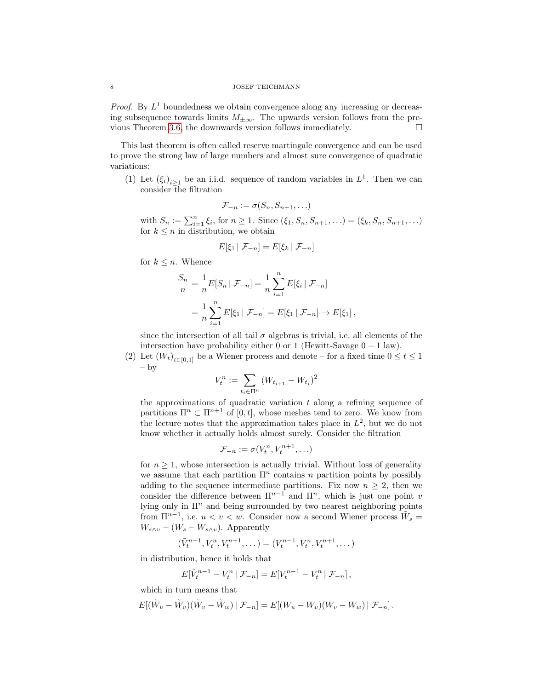*Proof.* By  $L^1$  boundedness we obtain convergence along any increasing or decreasing subsequence towards limits  $M_{\pm\infty}$ . The upwards version follows from the pre-vious Theorem [3.6,](#page-6-0) the downwards version follows immediately.  $\Box$ 

This last theorem is often called reserve martingale convergence and can be used to prove the strong law of large numbers and almost sure convergence of quadratic variations:

(1) Let  $(\xi_i)_{i\geq 1}$  be an i.i.d. sequence of random variables in  $L^1$ . Then we can consider the filtration

$$
\mathcal{F}_{-n} := \sigma(S_n, S_{n+1}, \ldots)
$$

with  $S_n := \sum_{i=1}^n \xi_i$ , for  $n \ge 1$ . Since  $(\xi_1, S_n, S_{n+1}, ...)$  =  $(\xi_k, S_n, S_{n+1}, ...)$ for  $k \leq n$  in distribution, we obtain

$$
E[\xi_1 \mid \mathcal{F}_{-n}] = E[\xi_k \mid \mathcal{F}_{-n}]
$$

for  $k \leq n$ . Whence

$$
\frac{S_n}{n} = \frac{1}{n} E[S_n | \mathcal{F}_{-n}] = \frac{1}{n} \sum_{i=1}^n E[\xi_i | \mathcal{F}_{-n}]
$$
  
= 
$$
\frac{1}{n} \sum_{i=1}^n E[\xi_1 | \mathcal{F}_{-n}] = E[\xi_1 | \mathcal{F}_{-n}] \to E[\xi_1],
$$

since the intersection of all tail  $\sigma$  algebras is trivial, i.e. all elements of the intersection have probability either 0 or 1 (Hewitt-Savage  $0 - 1$  law).

(2) Let  $(W_t)_{t\in[0,1]}$  be a Wiener process and denote – for a fixed time  $0 \le t \le 1$ – by

$$
V_t^n := \sum_{t_i \in \Pi^n} \left( W_{t_{i+1}} - W_{t_i} \right)^2
$$

the approximations of quadratic variation  $t$  along a refining sequence of partitions  $\Pi^n \subset \Pi^{n+1}$  of  $[0, t]$ , whose meshes tend to zero. We know from the lecture notes that the approximation takes place in  $L^2$ , but we do not know whether it actually holds almost surely. Consider the filtration

$$
\mathcal{F}_{-n} := \sigma(V_t^n, V_t^{n+1}, \ldots)
$$

for  $n \geq 1$ , whose intersection is actually trivial. Without loss of generality we assume that each partition  $\Pi^n$  contains n partition points by possibly adding to the sequence intermediate partitions. Fix now  $n \geq 2$ , then we consider the difference between  $\Pi^{n-1}$  and  $\Pi^n$ , which is just one point v lying only in  $\Pi^n$  and being surrounded by two nearest neighboring points from  $\Pi^{n-1}$ , i.e.  $u < v < w$ . Consider now a second Wiener process  $\tilde{W}_s =$  $W_{s\wedge v} - (W_s - W_{s\wedge v})$ . Apparently

$$
(\tilde{V}_t^{n-1}, V_t^n, V_t^{n+1}, \dots) = (V_t^{n-1}, V_t^n, V_t^{n+1}, \dots)
$$

in distribution, hence it holds that

$$
E[\tilde{V}_t^{n-1} - V_t^n | \mathcal{F}_{-n}] = E[V_t^{n-1} - V_t^n | \mathcal{F}_{-n}],
$$

which in turn means that

$$
E[(\tilde{W}_u - \tilde{W}_v)(\tilde{W}_v - \tilde{W}_w) | \mathcal{F}_{-n}] = E[(W_u - W_v)(W_v - W_w) | \mathcal{F}_{-n}].
$$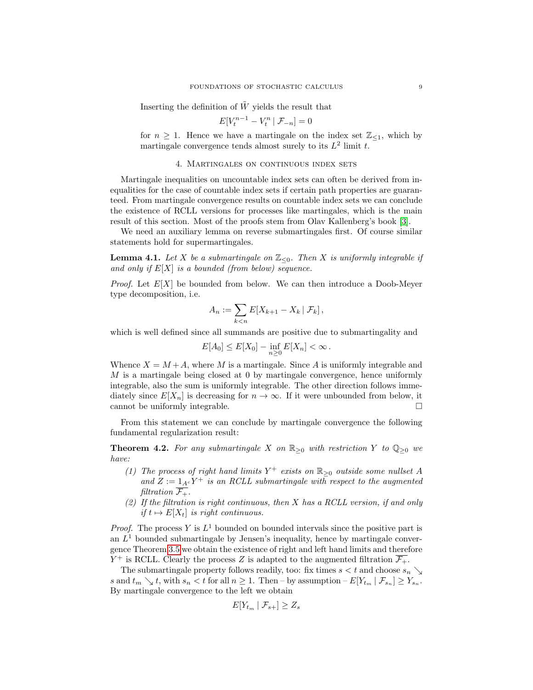Inserting the definition of  $\tilde{W}$  yields the result that

$$
E[V_t^{n-1} - V_t^n | \mathcal{F}_{-n}] = 0
$$

for  $n \geq 1$ . Hence we have a martingale on the index set  $\mathbb{Z}_{\leq 1}$ , which by martingale convergence tends almost surely to its  $L^2$  limit t.

## 4. Martingales on continuous index sets

Martingale inequalities on uncountable index sets can often be derived from inequalities for the case of countable index sets if certain path properties are guaranteed. From martingale convergence results on countable index sets we can conclude the existence of RCLL versions for processes like martingales, which is the main result of this section. Most of the proofs stem from Olav Kallenberg's book [\[3\]](#page-18-0).

We need an auxiliary lemma on reverse submartingales first. Of course similar statements hold for supermartingales.

<span id="page-8-0"></span>**Lemma 4.1.** Let X be a submartingale on  $\mathbb{Z}_{\leq 0}$ . Then X is uniformly integrable if and only if  $E[X]$  is a bounded (from below) sequence.

*Proof.* Let  $E[X]$  be bounded from below. We can then introduce a Doob-Meyer type decomposition, i.e.

$$
A_n := \sum_{k < n} E[X_{k+1} - X_k \mid \mathcal{F}_k],
$$

which is well defined since all summands are positive due to submartingality and

$$
E[A_0] \leq E[X_0] - \inf_{n \geq 0} E[X_n] < \infty \, .
$$

Whence  $X = M + A$ , where M is a martingale. Since A is uniformly integrable and M is a martingale being closed at 0 by martingale convergence, hence uniformly integrable, also the sum is uniformly integrable. The other direction follows immediately since  $E[X_n]$  is decreasing for  $n \to \infty$ . If it were unbounded from below, it cannot be uniformly integrable.  $\square$ 

From this statement we can conclude by martingale convergence the following fundamental regularization result:

**Theorem 4.2.** For any submartingale X on  $\mathbb{R}_{\geq 0}$  with restriction Y to  $\mathbb{Q}_{\geq 0}$  we have:

- (1) The process of right hand limits  $Y^+$  exists on  $\mathbb{R}_{\geq 0}$  outside some nullset A and  $Z := 1_{A^c} Y^+$  is an RCLL submartingale with respect to the augmented filtration  $\overline{\mathcal{F}_+}.$
- (2) If the filtration is right continuous, then  $X$  has a RCLL version, if and only if  $t \mapsto E[X_t]$  is right continuous.

*Proof.* The process Y is  $L^1$  bounded on bounded intervals since the positive part is an  $L<sup>1</sup>$  bounded submartingale by Jensen's inequality, hence by martingale convergence Theorem [3.5](#page-6-1) we obtain the existence of right and left hand limits and therefore  $Y^+$  is RCLL. Clearly the process Z is adapted to the augmented filtration  $\overline{\mathcal{F}_+}$ .

The submartingale property follows readily, too: fix times  $s < t$  and choose  $s_n \searrow$ s and  $t_m \searrow t$ , with  $s_n < t$  for all  $n \geq 1$ . Then – by assumption –  $E[Y_{t_m} | \mathcal{F}_{s_n}] \geq Y_{s_n}$ . By martingale convergence to the left we obtain

$$
E[Y_{t_m} | \mathcal{F}_{s+}] \geq Z_s
$$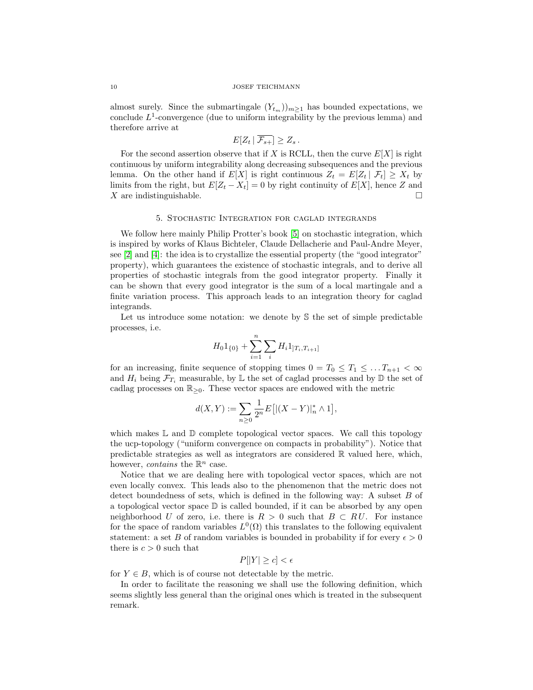almost surely. Since the submartingale  $(Y_{t_m})_{m>1}$  has bounded expectations, we conclude  $L^1$ -convergence (due to uniform integrability by the previous lemma) and therefore arrive at

$$
E[Z_t | \overline{\mathcal{F}_{s+}}] \geq Z_s.
$$

For the second assertion observe that if X is RCLL, then the curve  $E[X]$  is right continuous by uniform integrability along decreasing subsequences and the previous lemma. On the other hand if  $E[X]$  is right continuous  $Z_t = E[Z_t | \mathcal{F}_t] \geq X_t$  by limits from the right, but  $E[Z_t - X_t] = 0$  by right continuity of  $E[X]$ , hence Z and X are indistinguishable.

#### 5. Stochastic Integration for caglad integrands

We follow here mainly Philip Protter's book [\[5\]](#page-18-3) on stochastic integration, which is inspired by works of Klaus Bichteler, Claude Dellacherie and Paul-Andre Meyer, see [\[2\]](#page-18-4) and [\[4\]](#page-18-2): the idea is to crystallize the essential property (the "good integrator" property), which guarantees the existence of stochastic integrals, and to derive all properties of stochastic integrals from the good integrator property. Finally it can be shown that every good integrator is the sum of a local martingale and a finite variation process. This approach leads to an integration theory for caglad integrands.

Let us introduce some notation: we denote by S the set of simple predictable processes, i.e.

$$
H_0 1_{\{0\}} + \sum_{i=1}^n \sum_i H_i 1_{]T_i, T_{i+1}]}
$$

for an increasing, finite sequence of stopping times  $0 = T_0 \leq T_1 \leq \ldots T_{n+1} < \infty$ and  $H_i$  being  $\mathcal{F}_{T_i}$  measurable, by L the set of caglad processes and by D the set of cadlag processes on  $\mathbb{R}_{\geq 0}$ . These vector spaces are endowed with the metric

$$
d(X,Y):=\sum_{n\geq 0}\frac{1}{2^n}E\big[|(X-Y)|_n^*\wedge 1\big],
$$

which makes  $\mathbb L$  and  $\mathbb D$  complete topological vector spaces. We call this topology the ucp-topology ("uniform convergence on compacts in probability"). Notice that predictable strategies as well as integrators are considered  $\mathbb R$  valued here, which, however, *contains* the  $\mathbb{R}^n$  case.

Notice that we are dealing here with topological vector spaces, which are not even locally convex. This leads also to the phenomenon that the metric does not detect boundedness of sets, which is defined in the following way: A subset B of a topological vector space  $\mathbb D$  is called bounded, if it can be absorbed by any open neighborhood U of zero, i.e. there is  $R > 0$  such that  $B \subset RU$ . For instance for the space of random variables  $L^0(\Omega)$  this translates to the following equivalent statement: a set B of random variables is bounded in probability if for every  $\epsilon > 0$ there is  $c > 0$  such that

$$
P[|Y| \ge c] < \epsilon
$$

for  $Y \in B$ , which is of course not detectable by the metric.

In order to facilitate the reasoning we shall use the following definition, which seems slightly less general than the original ones which is treated in the subsequent remark.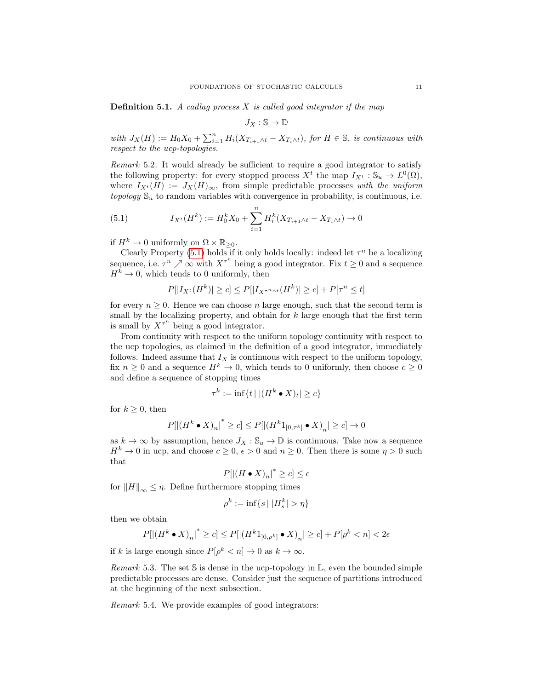**Definition 5.1.** A cadlag process  $X$  is called good integrator if the map

$$
J_X:\mathbb{S}\to\mathbb{D}
$$

with  $J_X(H) := H_0 X_0 + \sum_{i=1}^n H_i (X_{T_{i+1} \wedge t} - X_{T_i \wedge t})$ , for  $H \in \mathbb{S}$ , is continuous with respect to the ucp-topologies.

Remark 5.2. It would already be sufficient to require a good integrator to satisfy the following property: for every stopped process  $X^t$  the map  $I_{X^t}: \mathbb{S}_u \to L^0(\Omega)$ , where  $I_{X^t}(H) := J_X(H)_{\infty}$ , from simple predictable processes with the uniform topology  $\mathbb{S}_u$  to random variables with convergence in probability, is continuous, i.e.

<span id="page-10-0"></span>(5.1) 
$$
I_{X^t}(H^k) := H_0^k X_0 + \sum_{i=1}^n H_i^k (X_{T_{i+1} \wedge t} - X_{T_i \wedge t}) \to 0
$$

if  $H^k \to 0$  uniformly on  $\Omega \times \mathbb{R}_{\geq 0}$ .

Clearly Property [\(5.1\)](#page-10-0) holds if it only holds locally: indeed let  $\tau^n$  be a localizing sequence, i.e.  $\tau^n \nearrow \infty$  with  $X^{\tau^n}$  being a good integrator. Fix  $t \geq 0$  and a sequence  $H^k \to 0$ , which tends to 0 uniformly, then

$$
P[|I_{X^t}(H^k)| \ge c] \le P[|I_{X^{\tau^n \wedge t}}(H^k)| \ge c] + P[\tau^n \le t]
$$

for every  $n \geq 0$ . Hence we can choose n large enough, such that the second term is small by the localizing property, and obtain for  $k$  large enough that the first term is small by  $X^{\tau^n}$  being a good integrator.

From continuity with respect to the uniform topology continuity with respect to the ucp topologies, as claimed in the definition of a good integrator, immediately follows. Indeed assume that  $I_X$  is continuous with respect to the uniform topology, fix  $n \geq 0$  and a sequence  $H^k \to 0$ , which tends to 0 uniformly, then choose  $c \geq 0$ and define a sequence of stopping times

$$
\tau^k := \inf\{t \mid |(H^k \bullet X)_t| \ge c\}
$$

for  $k \geq 0$ , then

$$
P[ \left|\left(H^k \bullet X \right)_n \right|^* \geq c] \leq P[ \left|\left(H^k 1_{[0,\tau^k]} \bullet X \right)_n| \geq c] \to 0
$$

as  $k \to \infty$  by assumption, hence  $J_X : \mathbb{S}_u \to \mathbb{D}$  is continuous. Take now a sequence  $H^k \to 0$  in ucp, and choose  $c \geq 0$ ,  $\epsilon > 0$  and  $n \geq 0$ . Then there is some  $\eta > 0$  such that

$$
P[|(H \bullet X)_n|^* \ge c] \le \epsilon
$$

for  $||H||_{\infty} \leq \eta$ . Define furthermore stopping times

$$
\rho^k := \inf\{s \mid |H_s^k| > \eta\}
$$

then we obtain

$$
P[|(H^k \bullet X)_n|^* \ge c] \le P[|(H^k 1_{]0,\rho^k]} \bullet X)_n| \ge c] + P[\rho^k < n] < 2\epsilon
$$

if k is large enough since  $P[\rho^k < n] \to 0$  as  $k \to \infty$ .

*Remark* 5.3. The set S is dense in the ucp-topology in  $\mathbb{L}$ , even the bounded simple predictable processes are dense. Consider just the sequence of partitions introduced at the beginning of the next subsection.

Remark 5.4. We provide examples of good integrators: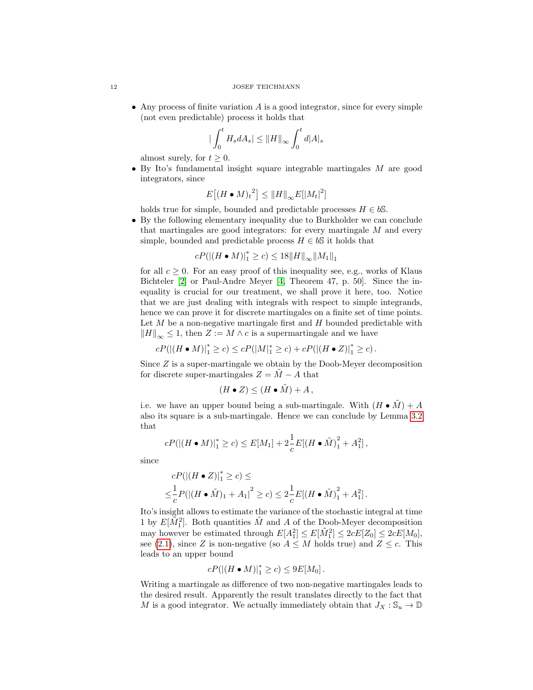• Any process of finite variation  $A$  is a good integrator, since for every simple (not even predictable) process it holds that

$$
\big|\int_0^t H_s dA_s\big| \le \|H\|_\infty \int_0^t d|A|_s
$$

almost surely, for  $t \geq 0$ .

• By Ito's fundamental insight square integrable martingales M are good integrators, since

$$
E[(H \bullet M)_t^2] \leq ||H||_{\infty} E[|M_t|^2]
$$

holds true for simple, bounded and predictable processes  $H \in b\mathbb{S}$ .

• By the following elementary inequality due to Burkholder we can conclude that martingales are good integrators: for every martingale  $M$  and every simple, bounded and predictable process  $H \in b\mathbb{S}$  it holds that

$$
cP(||(H \bullet M)|_1^* \ge c) \le 18||H||_{\infty}||M_1||_1
$$

for all  $c > 0$ . For an easy proof of this inequality see, e.g., works of Klaus Bichteler [\[2\]](#page-18-4) or Paul-Andre Meyer [\[4,](#page-18-2) Theorem 47, p. 50]. Since the inequality is crucial for our treatment, we shall prove it here, too. Notice that we are just dealing with integrals with respect to simple integrands, hence we can prove it for discrete martingales on a finite set of time points. Let  $M$  be a non-negative martingale first and  $H$  bounded predictable with  $\|H\|_{\infty} \leq 1$ , then  $Z := M \wedge c$  is a supermartingale and we have

$$
cP(||H \bullet M)|_1^* \ge c) \le cP(|M|_1^* \ge c) + cP(|(H \bullet Z)|_1^* \ge c).
$$

Since  $Z$  is a super-martingale we obtain by the Doob-Meyer decomposition for discrete super-martingales  $Z = \tilde{M} - A$  that

$$
(H \bullet Z) \le (H \bullet \tilde{M}) + A,
$$

i.e. we have an upper bound being a sub-martingale. With  $(H \cdot \tilde{M}) + A$ also its square is a sub-martingale. Hence we can conclude by Lemma [3.2](#page-4-1) that

$$
cP(||H \bullet M)|_1^* \ge c) \le E[M_1] + 2\frac{1}{c}E[(H \bullet \tilde{M})_1^2 + A_1^2],
$$

since

$$
cP(|(H \bullet Z)|_1^* \ge c) \le
$$
  

$$
\le \frac{1}{c}P(|(H \bullet \tilde{M})_1 + A_1|^2 \ge c) \le 2\frac{1}{c}E[(H \bullet \tilde{M})_1^2 + A_1^2].
$$

Ito's insight allows to estimate the variance of the stochastic integral at time 1 by  $E[\tilde{M}_1^2]$ . Both quantities  $\tilde{M}$  and A of the Doob-Meyer decomposition may however be estimated through  $E[A_1^2] \leq E[\tilde{M}_1^2] \leq 2cE[Z_0] \leq 2cE[M_0],$ see [\(2.1\)](#page-3-0), since Z is non-negative (so  $A \leq M$  holds true) and  $Z \leq c$ . This leads to an upper bound

$$
cP(|(H \bullet M)|_1^* \ge c) \le 9E[M_0].
$$

Writing a martingale as difference of two non-negative martingales leads to the desired result. Apparently the result translates directly to the fact that M is a good integrator. We actually immediately obtain that  $J_X : \mathbb{S}_u \to \mathbb{D}$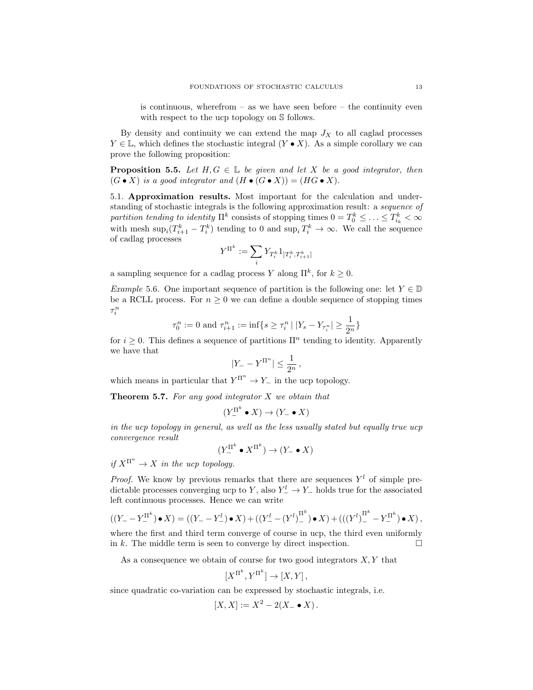is continuous, wherefrom  $-$  as we have seen before  $-$  the continuity even with respect to the ucp topology on  $\mathcal S$  follows.

By density and continuity we can extend the map  $J_X$  to all caglad processes  $Y \in \mathbb{L}$ , which defines the stochastic integral  $(Y \bullet X)$ . As a simple corollary we can prove the following proposition:

**Proposition 5.5.** Let  $H, G \in \mathbb{L}$  be given and let X be a good integrator, then  $(G \bullet X)$  is a good integrator and  $(H \bullet (G \bullet X)) = (HG \bullet X)$ .

5.1. Approximation results. Most important for the calculation and understanding of stochastic integrals is the following approximation result: a sequence of partition tending to identity  $\Pi^k$  consists of stopping times  $0 = T_0^k \leq \ldots \leq T_{i_k}^k < \infty$ with mesh  $\sup_i(T_{i+1}^k - T_i^k)$  tending to 0 and  $\sup_i T_i^k \to \infty$ . We call the sequence of cadlag processes

$$
Y^{\Pi^k}:=\sum_i Y_{T_i^k}1_{]T_i^k,T_{i+1}^k]}
$$

a sampling sequence for a cadlag process Y along  $\mathbb{I}^k$ , for  $k \geq 0$ .

Example 5.6. One important sequence of partition is the following one: let  $Y \in \mathbb{D}$ be a RCLL process. For  $n \geq 0$  we can define a double sequence of stopping times  $\tau^n_i$ 

$$
\tau_0^n := 0
$$
 and  $\tau_{i+1}^n := \inf\{s \ge \tau_i^n | |Y_s - Y_{\tau_i^n}| \ge \frac{1}{2^n}\}\$ 

for  $i \geq 0$ . This defines a sequence of partitions  $\Pi^n$  tending to identity. Apparently we have that

$$
|Y_- - Y^{\Pi^n}| \le \frac{1}{2^n},
$$

which means in particular that  $Y^{\Pi^n} \to Y_-$  in the ucp topology.

**Theorem 5.7.** For any good integrator  $X$  we obtain that

$$
(Y_{-}^{\Pi^k} \bullet X) \to (Y_{-} \bullet X)
$$

in the ucp topology in general, as well as the less usually stated but equally true ucp convergence result

$$
(Y_-^{\Pi^k} \bullet X^{\Pi^k}) \to (Y_- \bullet X)
$$

if  $X^{\Pi^n} \to X$  in the ucp topology.

*Proof.* We know by previous remarks that there are sequences  $Y<sup>l</sup>$  of simple predictable processes converging ucp to Y, also  $Y_-^l \to Y_-\,$  holds true for the associated left continuous processes. Hence we can write

$$
((Y_{-} - Y_{-}^{\Pi^k}) \bullet X) = ((Y_{-} - Y_{-}^l) \bullet X) + ((Y_{-}^l - (Y^l)_{-}^{\Pi^k}) \bullet X) + (((Y^l)_{-}^{\Pi^k} - Y_{-}^{\Pi^k}) \bullet X),
$$

where the first and third term converge of course in ucp, the third even uniformly in k. The middle term is seen to converge by direct inspection.  $\Box$ 

As a consequence we obtain of course for two good integrators  $X, Y$  that

$$
[X^{\Pi^k}, Y^{\Pi^k}] \to [X, Y],
$$

since quadratic co-variation can be expressed by stochastic integrals, i.e.

$$
[X,X] := X^2 - 2(X - \bullet X).
$$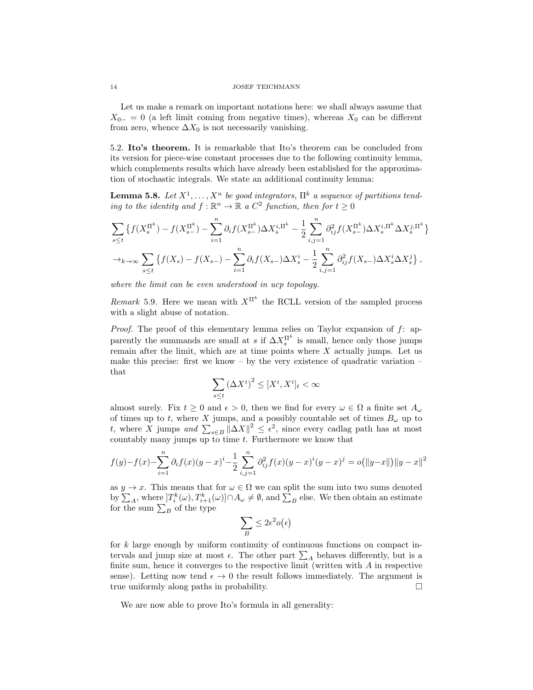#### 14 JOSEF TEICHMANN

Let us make a remark on important notations here: we shall always assume that  $X_{0-} = 0$  (a left limit coming from negative times), whereas  $X_0$  can be different from zero, whence  $\Delta X_0$  is not necessarily vanishing.

5.2. Ito's theorem. It is remarkable that Ito's theorem can be concluded from its version for piece-wise constant processes due to the following continuity lemma, which complements results which have already been established for the approximation of stochastic integrals. We state an additional continuity lemma:

**Lemma 5.8.** Let  $X^1, \ldots, X^n$  be good integrators,  $\Pi^k$  a sequence of partitions tending to the identity and  $f : \mathbb{R}^n \to \mathbb{R}$  a  $C^2$  function, then for  $t \geq 0$ 

$$
\sum_{s\leq t} \left\{ f(X_s^{\Pi^k}) - f(X_{s-}^{\Pi^k}) - \sum_{i=1}^n \partial_i f(X_{s-}^{\Pi^k}) \Delta X_s^{i,\Pi^k} - \frac{1}{2} \sum_{i,j=1}^n \partial_{ij}^2 f(X_{s-}^{\Pi^k}) \Delta X_s^{i,\Pi^k} \Delta X_s^{j,\Pi^k} \right\}
$$
  

$$
\to_{k \to \infty} \sum_{s\leq t} \left\{ f(X_s) - f(X_{s-}) - \sum_{i=1}^n \partial_i f(X_{s-}) \Delta X_s^i - \frac{1}{2} \sum_{i,j=1}^n \partial_{ij}^2 f(X_{s-}) \Delta X_s^i \Delta X_s^j \right\},
$$

where the limit can be even understood in ucp topology.

Remark 5.9. Here we mean with  $X^{\Pi^k}$  the RCLL version of the sampled process with a slight abuse of notation.

*Proof.* The proof of this elementary lemma relies on Taylor expansion of  $f$ : apparently the summands are small at s if  $\Delta X_s^{\Pi^k}$  is small, hence only those jumps remain after the limit, which are at time points where  $X$  actually jumps. Let us make this precise: first we know – by the very existence of quadratic variation – that

$$
\sum_{s\leq t} \left(\Delta X^i\right)^2\leq [X^i,X^i]_t<\infty
$$

almost surely. Fix  $t \geq 0$  and  $\epsilon > 0$ , then we find for every  $\omega \in \Omega$  a finite set  $A_{\omega}$ . of times up to t, where X jumps, and a possibly countable set of times  $B_{\omega}$  up to t, where X jumps and  $\sum_{s\in B} ||\Delta X||^2 \leq \epsilon^2$ , since every cadlag path has at most countably many jumps up to time  $t$ . Furthermore we know that

$$
f(y) - f(x) - \sum_{i=1}^{n} \partial_i f(x) (y - x)^i - \frac{1}{2} \sum_{i,j=1}^{n} \partial_{ij}^2 f(x) (y - x)^i (y - x)^j = o(||y - x||) ||y - x||^2
$$

as  $y \to x$ . This means that for  $\omega \in \Omega$  we can split the sum into two sums denoted by  $\sum_A$ , where  $]T_i^k(\omega), T_{i+1}^k(\omega)] \cap A_\omega \neq \emptyset$ , and  $\sum_B$  else. We then obtain an estimate for the sum  $\sum_B$  of the type

$$
\sum_B \leq 2\epsilon^2 o\big(\epsilon\big)
$$

for k large enough by uniform continuity of continuous functions on compact intervals and jump size at most  $\epsilon$ . The other part  $\sum_{A}$  behaves differently, but is a finite sum, hence it converges to the respective limit (written with  $A$  in respective sense). Letting now tend  $\epsilon \to 0$  the result follows immediately. The argument is true uniformly along paths in probability.

We are now able to prove Ito's formula in all generality: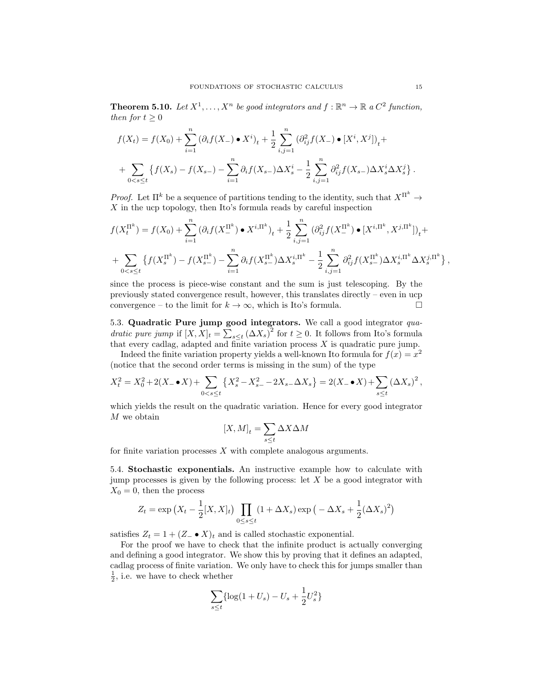**Theorem 5.10.** Let  $X^1, \ldots, X^n$  be good integrators and  $f : \mathbb{R}^n \to \mathbb{R}$  a  $C^2$  function, then for  $t > 0$ 

$$
f(X_t) = f(X_0) + \sum_{i=1}^n (\partial_i f(X_-) \bullet X^i)_t + \frac{1}{2} \sum_{i,j=1}^n (\partial_{ij}^2 f(X_-) \bullet [X^i, X^j])_t +
$$
  
+ 
$$
\sum_{0 < s \le t} \{ f(X_s) - f(X_{s-}) - \sum_{i=1}^n \partial_i f(X_{s-}) \Delta X^i_s - \frac{1}{2} \sum_{i,j=1}^n \partial_{ij}^2 f(X_{s-}) \Delta X^i_s \Delta X^j_s \}.
$$

*Proof.* Let  $\Pi^k$  be a sequence of partitions tending to the identity, such that  $X^{\Pi^k} \to$  $X$  in the ucp topology, then Ito's formula reads by careful inspection

$$
f(X_t^{\Pi^k}) = f(X_0) + \sum_{i=1}^n (\partial_i f(X_0^{\Pi^k}) \bullet X^{i,\Pi^k})_t + \frac{1}{2} \sum_{i,j=1}^n (\partial_{ij}^2 f(X_0^{\Pi^k}) \bullet [X^{i,\Pi^k}, X^{j,\Pi^k}])_t +
$$
  
+ 
$$
\sum_{0 < s \le t} \left\{ f(X_s^{\Pi^k}) - f(X_{s-}^{\Pi^k}) - \sum_{i=1}^n \partial_i f(X_{s-}^{\Pi^k}) \Delta X_s^{i,\Pi^k} - \frac{1}{2} \sum_{i,j=1}^n \partial_{ij}^2 f(X_{s-}^{\Pi^k}) \Delta X_s^{i,\Pi^k} \Delta X_s^{j,\Pi^k} \right\},
$$

since the process is piece-wise constant and the sum is just telescoping. By the previously stated convergence result, however, this translates directly – even in ucp convergence – to the limit for  $k \to \infty$ , which is Ito's formula.

5.3. Quadratic Pure jump good integrators. We call a good integrator quadratic pure jump if  $[X, X]_t = \sum_{s \leq t} (\Delta X_s)^2$  for  $t \geq 0$ . It follows from Ito's formula that every cadlag, adapted and finite variation process  $X$  is quadratic pure jump.

Indeed the finite variation property yields a well-known Ito formula for  $f(x) = x^2$ (notice that the second order terms is missing in the sum) of the type

$$
X_t^2 = X_0^2 + 2(X - \bullet X) + \sum_{0 < s \le t} \left\{ X_s^2 - X_{s-}^2 - 2X_{s-} \Delta X_s \right\} = 2(X - \bullet X) + \sum_{s \le t} (\Delta X_s)^2,
$$

which yields the result on the quadratic variation. Hence for every good integrator M we obtain

$$
[X,M]_t = \sum_{s \le t} \Delta X \Delta M
$$

for finite variation processes  $X$  with complete analogous arguments.

5.4. Stochastic exponentials. An instructive example how to calculate with jump processes is given by the following process: let  $X$  be a good integrator with  $X_0 = 0$ , then the process

$$
Z_t = \exp\left(X_t - \frac{1}{2}[X,X]_t\right) \prod_{0 \le s \le t} (1 + \Delta X_s) \exp\left(-\Delta X_s + \frac{1}{2}(\Delta X_s)^2\right)
$$

satisfies  $Z_t = 1 + (Z_ \bullet X)_t$  and is called stochastic exponential.

For the proof we have to check that the infinite product is actually converging and defining a good integrator. We show this by proving that it defines an adapted, cadlag process of finite variation. We only have to check this for jumps smaller than  $\frac{1}{2}$ , i.e. we have to check whether

$$
\sum_{s \le t} \{ \log(1 + U_s) - U_s + \frac{1}{2} U_s^2 \}
$$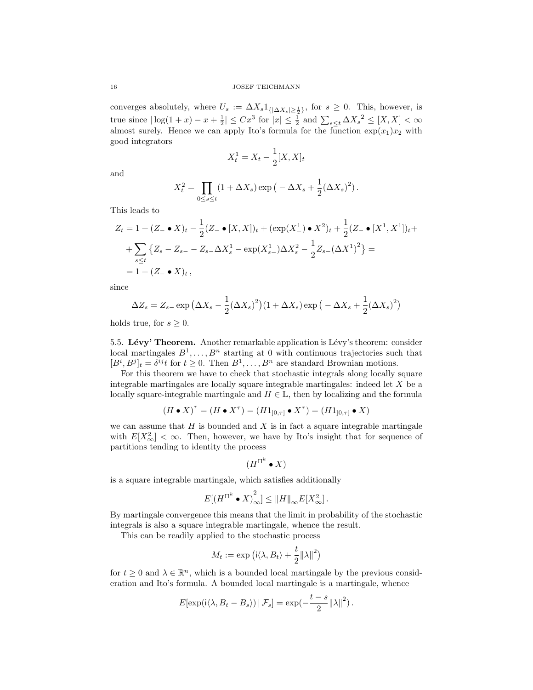converges absolutely, where  $U_s := \Delta X_s 1_{\{|\Delta X_s|\geq \frac{1}{2}\}}$ , for  $s \geq 0$ . This, however, is true since  $|\log(1+x)-x+\frac{1}{2}| \leq Cx^3$  for  $|x| \leq \frac{1}{2}$  and  $\sum_{s\leq t} \Delta X_s^2 \leq [X,X] < \infty$ almost surely. Hence we can apply Ito's formula for the function  $\exp(x_1)x_2$  with good integrators

$$
X_t^1 = X_t - \frac{1}{2}[X, X]_t
$$

and

$$
X_t^2 = \prod_{0 \le s \le t} (1 + \Delta X_s) \exp\left(-\Delta X_s + \frac{1}{2} (\Delta X_s)^2\right).
$$

This leads to

$$
Z_t = 1 + (Z - \bullet X)_t - \frac{1}{2}(Z - \bullet [X, X])_t + (\exp(X_{-}^1) \bullet X^2)_t + \frac{1}{2}(Z - \bullet [X^1, X^1])_t +
$$
  
+ 
$$
\sum_{s \le t} \{Z_s - Z_{s-} - Z_{s-} \Delta X_s^1 - \exp(X_{s-}^1) \Delta X_s^2 - \frac{1}{2}Z_{s-}(\Delta X^1)^2 \} =
$$
  
= 1 + (Z - \bullet X)\_t,

since

$$
\Delta Z_s = Z_{s-} \exp \left( \Delta X_s - \frac{1}{2} (\Delta X_s)^2 \right) \left( 1 + \Delta X_s \right) \exp \left( - \Delta X_s + \frac{1}{2} (\Delta X_s)^2 \right)
$$

holds true, for  $s \geq 0$ .

5.5. Lévy' Theorem. Another remarkable application is Lévy's theorem: consider local martingales  $B^1, \ldots, B^n$  starting at 0 with continuous trajectories such that  $[B^i, B^j]_t = \delta^{ij} t$  for  $t \geq 0$ . Then  $B^1, \ldots, B^n$  are standard Brownian motions.

For this theorem we have to check that stochastic integrals along locally square integrable martingales are locally square integrable martingales: indeed let X be a locally square-integrable martingale and  $H \in \mathbb{L}$ , then by localizing and the formula

$$
(H \bullet X)^\tau = (H \bullet X^\tau) = (H1_{]0,\tau]} \bullet X^\tau) = (H1_{]0,\tau]} \bullet X)
$$

we can assume that  $H$  is bounded and  $X$  is in fact a square integrable martingale with  $E[X^2_{\infty}] < \infty$ . Then, however, we have by Ito's insight that for sequence of partitions tending to identity the process

$$
(H^{\Pi^k} \bullet X)
$$

is a square integrable martingale, which satisfies additionally

$$
E[(H^{\Pi^k} \bullet X)_{\infty}^2] \leq ||H||_{\infty} E[X_{\infty}^2].
$$

By martingale convergence this means that the limit in probability of the stochastic integrals is also a square integrable martingale, whence the result.

This can be readily applied to the stochastic process

$$
M_t := \exp (i \langle \lambda, B_t \rangle + \frac{t}{2} ||\lambda||^2)
$$

for  $t \geq 0$  and  $\lambda \in \mathbb{R}^n$ , which is a bounded local martingale by the previous consideration and Ito's formula. A bounded local martingale is a martingale, whence

$$
E[\exp(i\langle \lambda, B_t - B_s \rangle) | \mathcal{F}_s] = \exp(-\frac{t-s}{2} ||\lambda||^2).
$$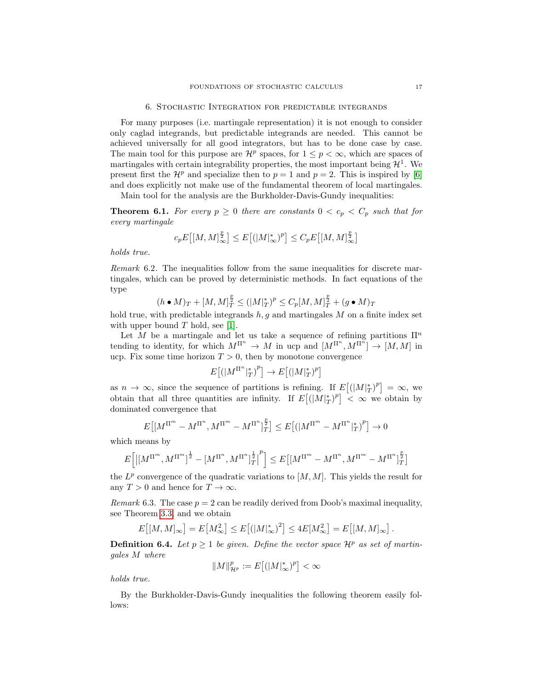### 6. Stochastic Integration for predictable integrands

For many purposes (i.e. martingale representation) it is not enough to consider only caglad integrands, but predictable integrands are needed. This cannot be achieved universally for all good integrators, but has to be done case by case. The main tool for this purpose are  $\mathcal{H}^p$  spaces, for  $1 \leq p < \infty$ , which are spaces of martingales with certain integrability properties, the most important being  $\mathcal{H}^1$ . We present first the  $\mathcal{H}^p$  and specialize then to  $p = 1$  and  $p = 2$ . This is inspired by [\[6\]](#page-18-1) and does explicitly not make use of the fundamental theorem of local martingales.

Main tool for the analysis are the Burkholder-Davis-Gundy inequalities:

**Theorem 6.1.** For every  $p \ge 0$  there are constants  $0 < c_p < C_p$  such that for every martingale

$$
c_p E\big[ [M, M]_\infty^{\frac{p}{2}} \big] \leq E\big[ (|M|_\infty^*)^p \big] \leq C_p E\big[ [M, M]_\infty^{\frac{p}{2}} \big]
$$

holds true.

Remark 6.2. The inequalities follow from the same inequalities for discrete martingales, which can be proved by deterministic methods. In fact equations of the type

$$
(h \bullet M)_T + [M, M]_T^{\frac{p}{2}} \le (|M|_T^*)^p \le C_p [M, M]_T^{\frac{p}{2}} + (g \bullet M)_T
$$

hold true, with predictable integrands  $h, g$  and martingales  $M$  on a finite index set with upper bound  $T$  hold, see [\[1\]](#page-18-5).

Let M be a martingale and let us take a sequence of refining partitions  $\Pi^n$ tending to identity, for which  $M^{\Pi^n} \to M$  in ucp and  $[M^{\Pi^n}, M^{\Pi^n}] \to [M, M]$  in ucp. Fix some time horizon  $T > 0$ , then by monotone convergence

$$
E\left[\left(|M^{\Pi^n}|_T^*\right)^p\right] \to E\left[\left(|M|_T^*\right)^p\right]
$$

as  $n \to \infty$ , since the sequence of partitions is refining. If  $E[(|M|_T^*)^p] = \infty$ , we obtain that all three quantities are infinity. If  $E[(|M|_T^*)^p] < \infty$  we obtain by dominated convergence that

$$
E\big[\big[M^{\Pi^{m}} - M^{\Pi^{n}}, M^{\Pi^{m}} - M^{\Pi^{n}}\big]_{T}^{\frac{p}{2}}\big] \leq E\big[\big(\big|M^{\Pi^{m}} - M^{\Pi^{n}}\big]_{T}^{*}\big)^{p}\big] \to 0
$$

which means by

$$
E\Big[\big|[M^{\Pi^{m}},M^{\Pi^{m}}]^{\frac{1}{2}}-[M^{\Pi^{n}},M^{\Pi^{n}}]^{\frac{1}{2}}_{T}\big]^p\Big]\leq E\big[[M^{\Pi^{m}}-M^{\Pi^{n}},M^{\Pi^{m}}-M^{\Pi^{n}}]^{\frac{p}{2}}_{T}\big]
$$

the  $L^p$  convergence of the quadratic variations to  $[M, M]$ . This yields the result for any  $T > 0$  and hence for  $T \to \infty$ .

Remark 6.3. The case  $p = 2$  can be readily derived from Doob's maximal inequality, see Theorem [3.3,](#page-5-0) and we obtain

$$
E\big[ [M,M]_\infty \big] = E\big[ M_\infty^2 \big] \le E\big[ \big( |M|_\infty^* \big)^2 \big] \le 4E\big[ M_\infty^2 \big] = E\big[ [M,M]_\infty \big] \, .
$$

**Definition 6.4.** Let  $p \ge 1$  be given. Define the vector space  $\mathcal{H}^p$  as set of martingales M where

$$
\|M\|_{\mathcal{H}^p}^p:=E\big[(|M|_\infty^*)^p\big]<\infty
$$

holds true.

By the Burkholder-Davis-Gundy inequalities the following theorem easily follows: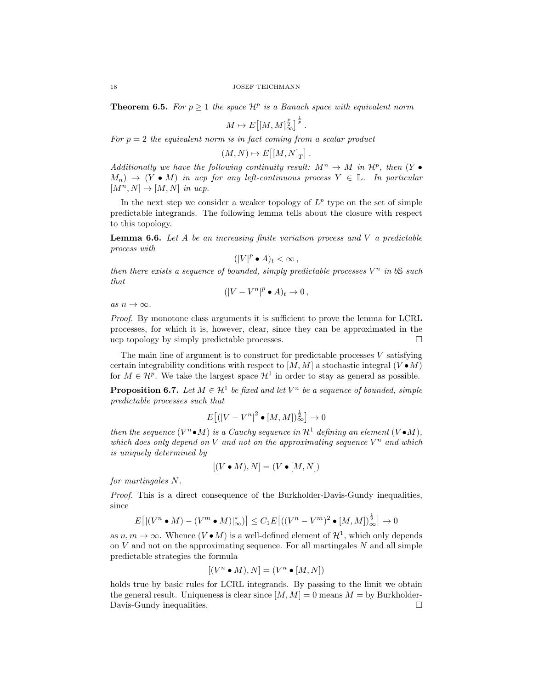**Theorem 6.5.** For  $p \geq 1$  the space  $\mathcal{H}^p$  is a Banach space with equivalent norm

$$
M \mapsto E\big[ [M, M]_\infty^{\frac{p}{2}} \big]^{\frac{1}{p}}.
$$

For  $p = 2$  the equivalent norm is in fact coming from a scalar product

 $(M, N) \mapsto E\big[[M, N]_T\big]$ .

Additionally we have the following continuity result:  $M^n \to M$  in  $\mathcal{H}^p$ , then  $(Y \bullet$  $M_n$ )  $\rightarrow$  (Y • M) in ucp for any left-continuous process  $Y \in \mathbb{L}$ . In particular  $[M^n, N] \rightarrow [M, N]$  in ucp.

In the next step we consider a weaker topology of  $L^p$  type on the set of simple predictable integrands. The following lemma tells about the closure with respect to this topology.

**Lemma 6.6.** Let A be an increasing finite variation process and V a predictable process with

$$
(|V|^p \bullet A)_t < \infty \,,
$$

then there exists a sequence of bounded, simply predictable processes  $V^n$  in bS such that

 $(|V - V^n|^p \bullet A)_t \to 0,$ 

as  $n \to \infty$ .

Proof. By monotone class arguments it is sufficient to prove the lemma for LCRL processes, for which it is, however, clear, since they can be approximated in the ucp topology by simply predictable processes.

The main line of argument is to construct for predictable processes  $V$  satisfying certain integrability conditions with respect to  $[M, M]$  a stochastic integral  $(V \bullet M)$ for  $M \in \mathcal{H}^p$ . We take the largest space  $\mathcal{H}^1$  in order to stay as general as possible.

**Proposition 6.7.** Let  $M \in \mathcal{H}^1$  be fixed and let  $V^n$  be a sequence of bounded, simple predictable processes such that

$$
E\big[ (|V - V^n|^2 \bullet [M, M])_\infty^{\frac{1}{2}} \big] \to 0
$$

then the sequence  $(V^n \bullet M)$  is a Cauchy sequence in  $\mathcal{H}^1$  defining an element  $(V \bullet M)$ , which does only depend on V and not on the approximating sequence  $V^n$  and which is uniquely determined by

$$
[(V \bullet M), N] = (V \bullet [M, N])
$$

for martingales N.

Proof. This is a direct consequence of the Burkholder-Davis-Gundy inequalities, since

$$
E\big[|(V^n \bullet M) - (V^m \bullet M)|_{\infty}^*\big)\big] \leq C_1 E\big[((V^n - V^m)^2 \bullet [M, M])_{\infty}^{\frac{1}{2}}\big] \to 0
$$

as  $n, m \to \infty$ . Whence  $(V \bullet M)$  is a well-defined element of  $\mathcal{H}^1$ , which only depends on  $V$  and not on the approximating sequence. For all martingales  $N$  and all simple predictable strategies the formula

$$
[(V^n \bullet M), N] = (V^n \bullet [M, N])
$$

holds true by basic rules for LCRL integrands. By passing to the limit we obtain the general result. Uniqueness is clear since  $[M, M] = 0$  means  $M =$  by Burkholder-Davis-Gundy inequalities.